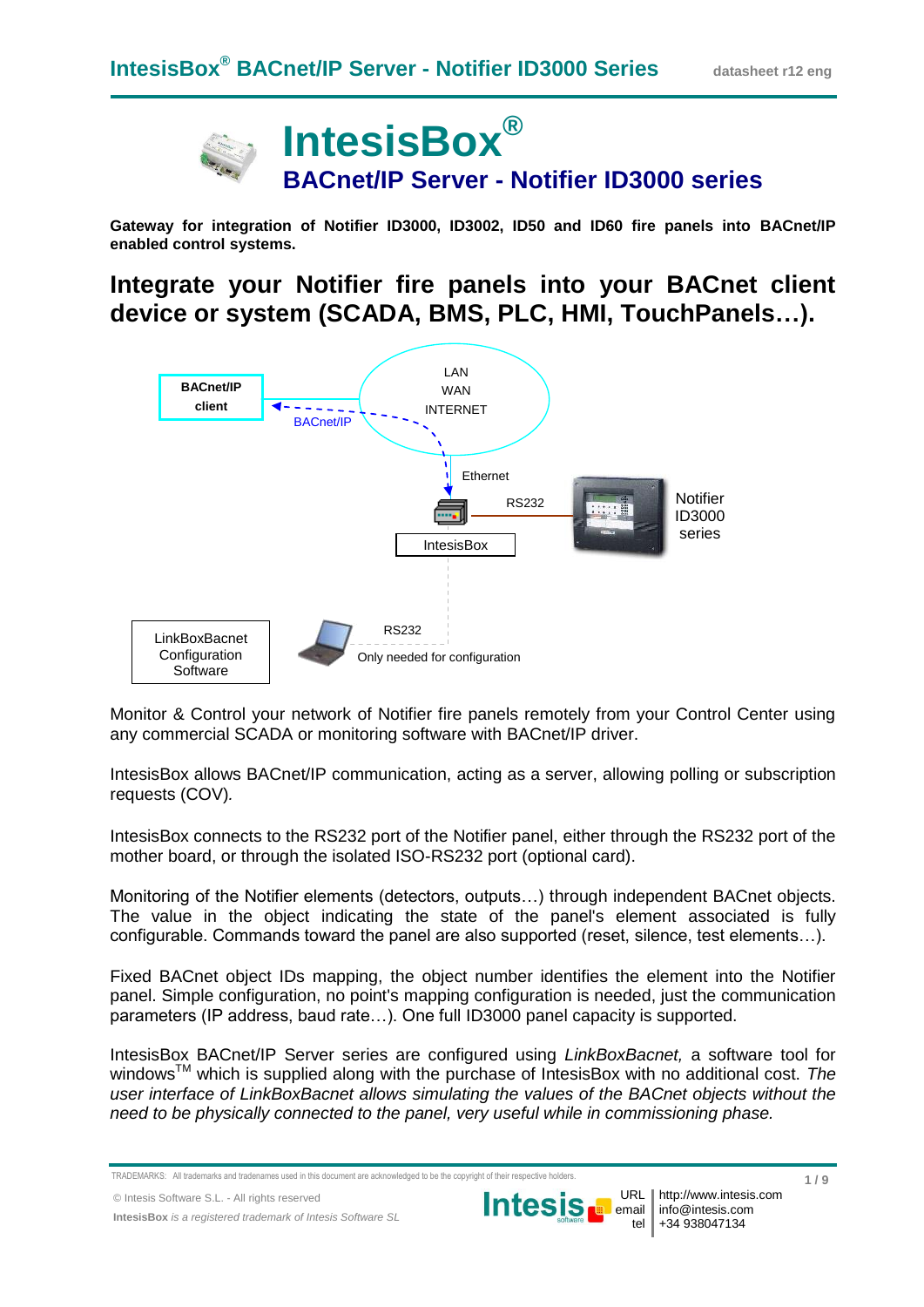

**Gateway for integration of Notifier ID3000, ID3002, ID50 and ID60 fire panels into BACnet/IP enabled control systems.**

**Integrate your Notifier fire panels into your BACnet client device or system (SCADA, BMS, PLC, HMI, TouchPanels…).**



Monitor & Control your network of Notifier fire panels remotely from your Control Center using any commercial SCADA or monitoring software with BACnet/IP driver.

IntesisBox allows BACnet/IP communication, acting as a server, allowing polling or subscription requests (COV)*.*

IntesisBox connects to the RS232 port of the Notifier panel, either through the RS232 port of the mother board, or through the isolated ISO-RS232 port (optional card).

Monitoring of the Notifier elements (detectors, outputs…) through independent BACnet objects. The value in the object indicating the state of the panel's element associated is fully configurable. Commands toward the panel are also supported (reset, silence, test elements…).

Fixed BACnet object IDs mapping, the object number identifies the element into the Notifier panel. Simple configuration, no point's mapping configuration is needed, just the communication parameters (IP address, baud rate…). One full ID3000 panel capacity is supported.

IntesisBox BACnet/IP Server series are configured using *LinkBoxBacnet,* a software tool for windowsTM which is supplied along with the purchase of IntesisBox with no additional cost. *The user interface of LinkBoxBacnet allows simulating the values of the BACnet objects without the need to be physically connected to the panel, very useful while in commissioning phase.*



URL

TRADEMARKS: All trademarks and tradenames used in this document are acknowledged to be the copyright of their respective ho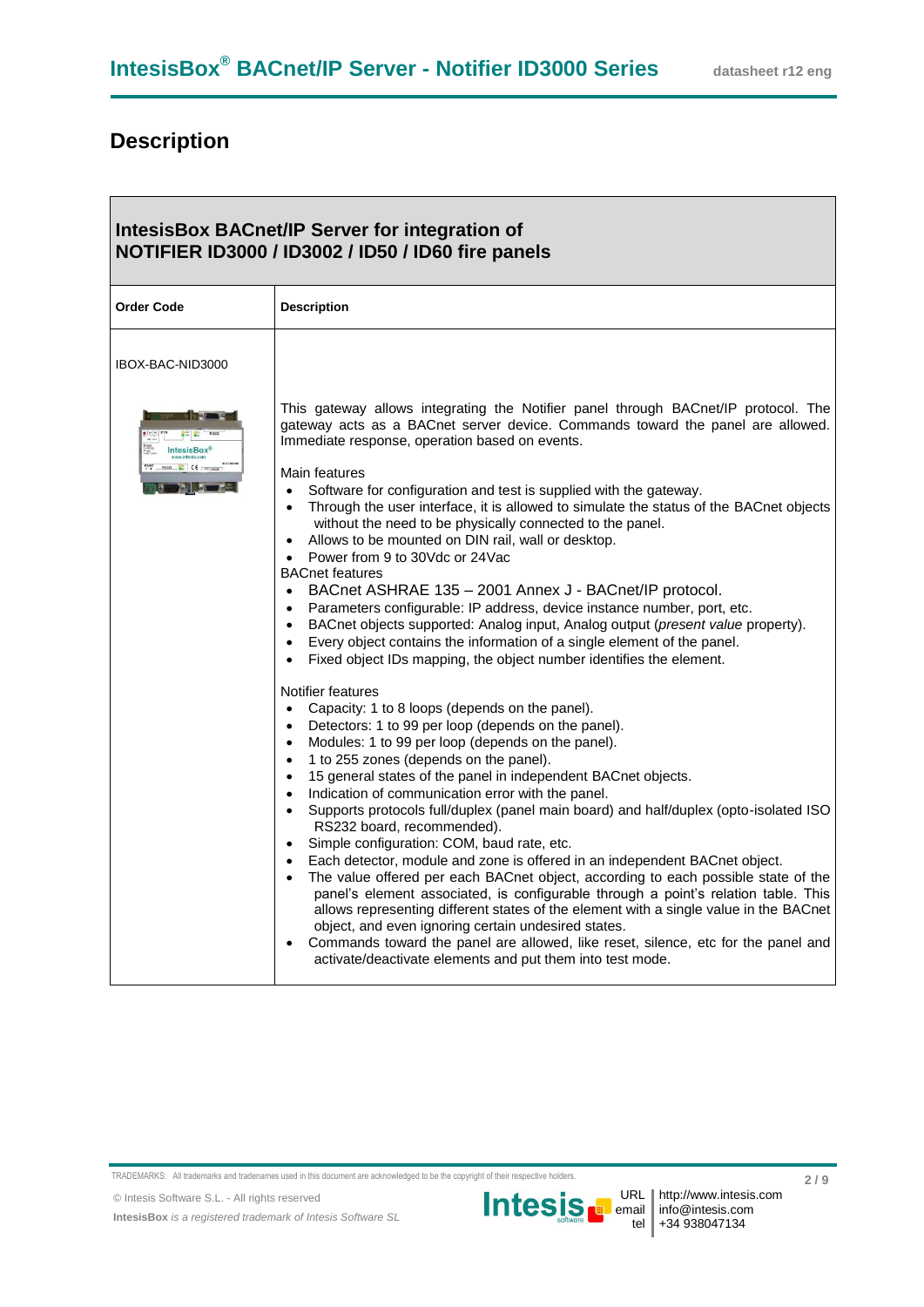┓

## **Description**

 $\overline{\phantom{0}}$ 

| <b>IntesisBox BACnet/IP Server for integration of</b><br>NOTIFIER ID3000 / ID3002 / ID50 / ID60 fire panels |                                                                                                                                                                                                                                                                                                                                                                                                                                                                                                                                                                                                                                                                                                                                                                                                                                                                                                                                                                                                                                                                                                                                                                               |  |  |
|-------------------------------------------------------------------------------------------------------------|-------------------------------------------------------------------------------------------------------------------------------------------------------------------------------------------------------------------------------------------------------------------------------------------------------------------------------------------------------------------------------------------------------------------------------------------------------------------------------------------------------------------------------------------------------------------------------------------------------------------------------------------------------------------------------------------------------------------------------------------------------------------------------------------------------------------------------------------------------------------------------------------------------------------------------------------------------------------------------------------------------------------------------------------------------------------------------------------------------------------------------------------------------------------------------|--|--|
| <b>Order Code</b>                                                                                           | <b>Description</b>                                                                                                                                                                                                                                                                                                                                                                                                                                                                                                                                                                                                                                                                                                                                                                                                                                                                                                                                                                                                                                                                                                                                                            |  |  |
| IBOX-BAC-NID3000                                                                                            |                                                                                                                                                                                                                                                                                                                                                                                                                                                                                                                                                                                                                                                                                                                                                                                                                                                                                                                                                                                                                                                                                                                                                                               |  |  |
| <b>IntesisBox®</b><br>RS232 & CE PCComm                                                                     | This gateway allows integrating the Notifier panel through BACnet/IP protocol. The<br>gateway acts as a BACnet server device. Commands toward the panel are allowed.<br>Immediate response, operation based on events.<br>Main features<br>Software for configuration and test is supplied with the gateway.<br>$\bullet$<br>Through the user interface, it is allowed to simulate the status of the BACnet objects<br>without the need to be physically connected to the panel.<br>Allows to be mounted on DIN rail, wall or desktop.<br>Power from 9 to 30Vdc or 24Vac<br>$\bullet$<br><b>BACnet features</b><br>• BACnet ASHRAE 135 - 2001 Annex J - BACnet/IP protocol.<br>Parameters configurable: IP address, device instance number, port, etc.<br>$\bullet$<br>• BACnet objects supported: Analog input, Analog output (present value property).<br>Every object contains the information of a single element of the panel.<br>Fixed object IDs mapping, the object number identifies the element.<br>$\bullet$                                                                                                                                                       |  |  |
|                                                                                                             | Notifier features<br>Capacity: 1 to 8 loops (depends on the panel).<br>$\bullet$<br>Detectors: 1 to 99 per loop (depends on the panel).<br>$\bullet$<br>Modules: 1 to 99 per loop (depends on the panel).<br>$\bullet$<br>1 to 255 zones (depends on the panel).<br>$\bullet$<br>15 general states of the panel in independent BACnet objects.<br>$\bullet$<br>Indication of communication error with the panel.<br>$\bullet$<br>• Supports protocols full/duplex (panel main board) and half/duplex (opto-isolated ISO<br>RS232 board, recommended).<br>• Simple configuration: COM, baud rate, etc.<br>Each detector, module and zone is offered in an independent BACnet object.<br>$\bullet$<br>The value offered per each BACnet object, according to each possible state of the<br>panel's element associated, is configurable through a point's relation table. This<br>allows representing different states of the element with a single value in the BACnet<br>object, and even ignoring certain undesired states.<br>Commands toward the panel are allowed, like reset, silence, etc for the panel and<br>activate/deactivate elements and put them into test mode. |  |  |

TRADEMARKS: All trademarks and tradenames used in this document are acknowledged to be the copyright of their respective holders.

© Intesis Software S.L. - All rights reserved



URL email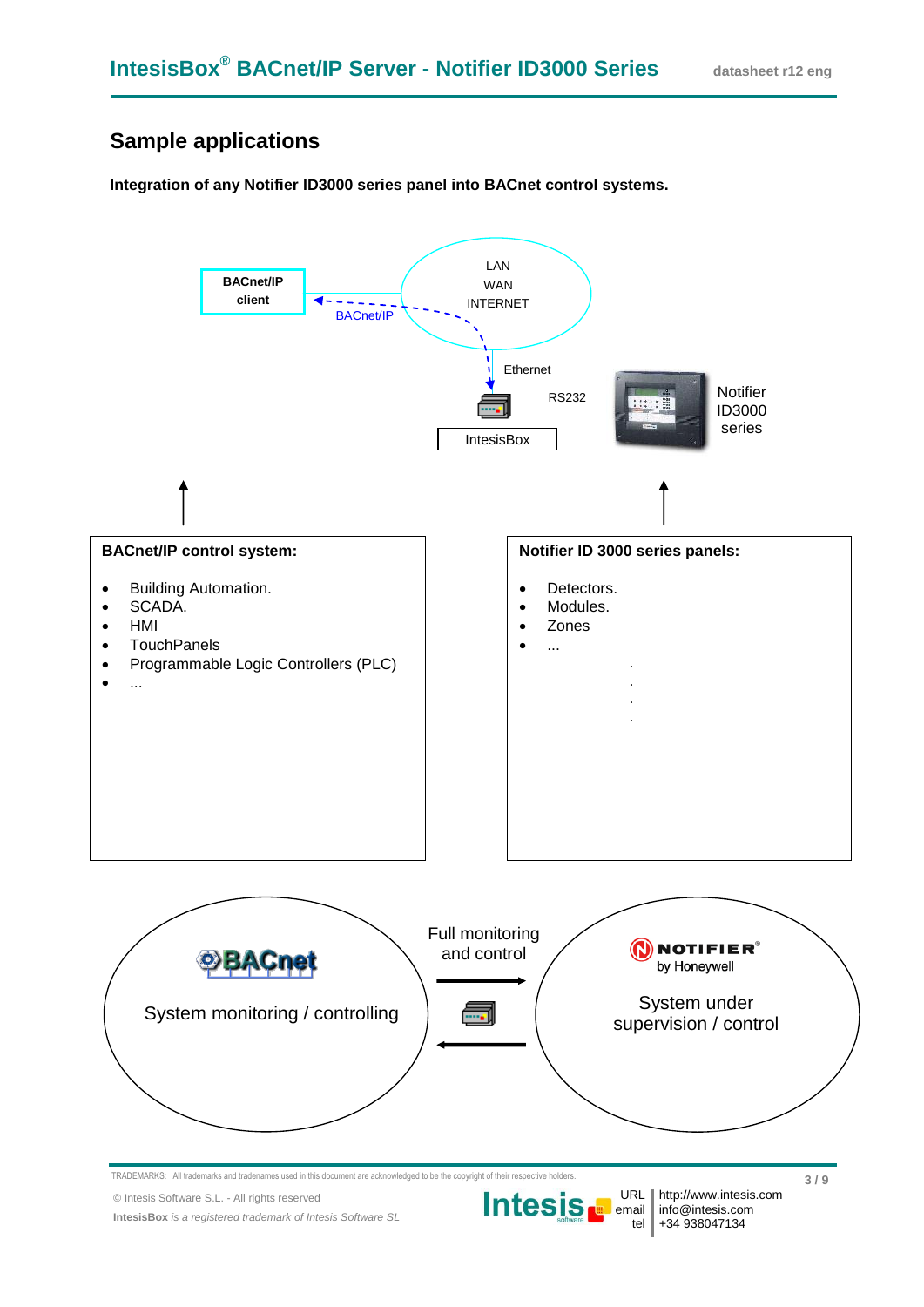### **Sample applications**

#### **Integration of any Notifier ID3000 series panel into BACnet control systems.**



© Intesis Software S.L. - All rights reserved

**IntesisBox** *is a registered trademark of Intesis Software SL*

tel +34 938047134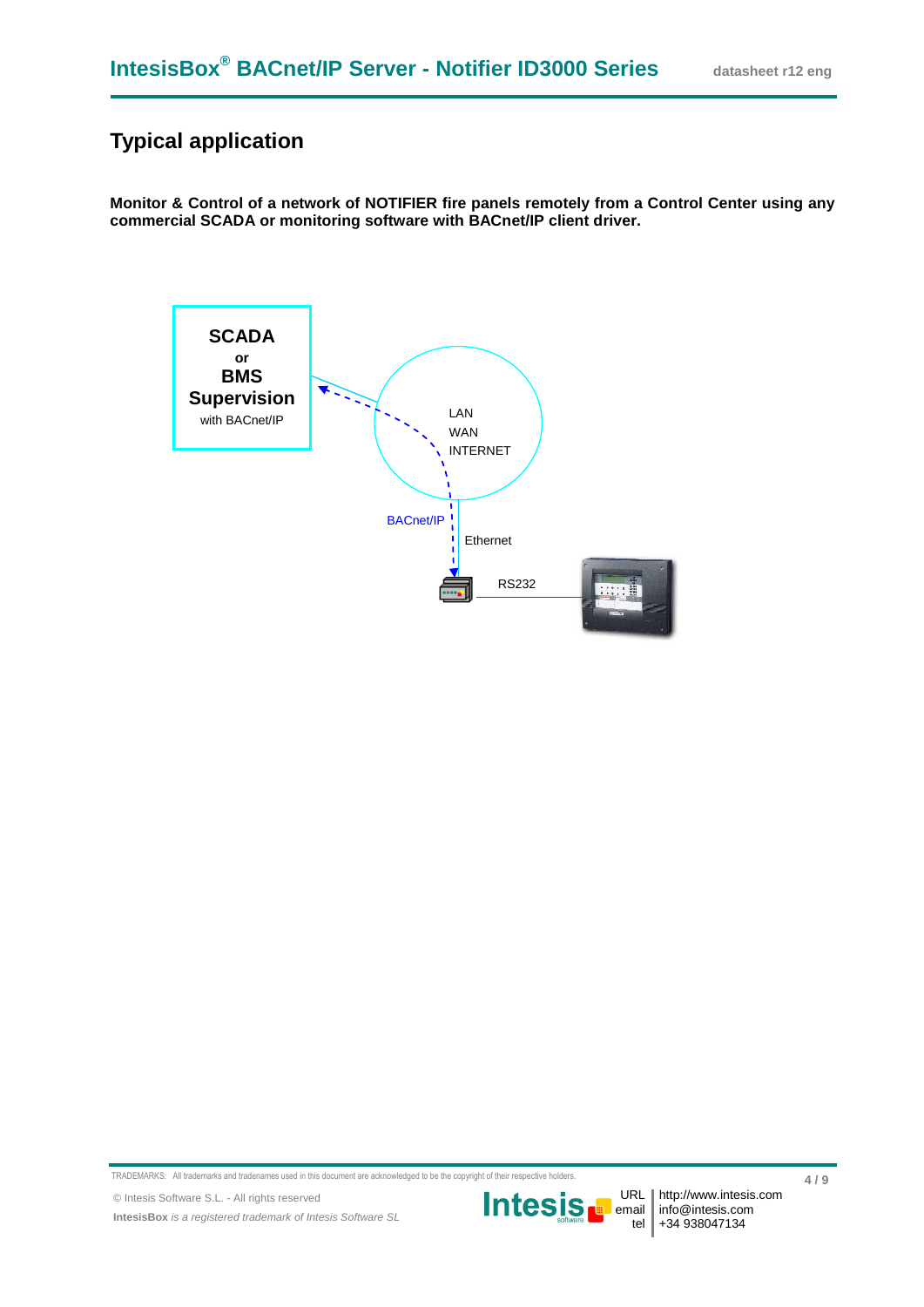### **Typical application**

**Monitor & Control of a network of NOTIFIER fire panels remotely from a Control Center using any commercial SCADA or monitoring software with BACnet/IP client driver.**



TRADEMARKS: All trademarks and tradenames used in this document are acknowledged to be the copyright of their respective holders.

© Intesis Software S.L. - All rights reserved

**IntesisBox** *is a registered trademark of Intesis Software SL*

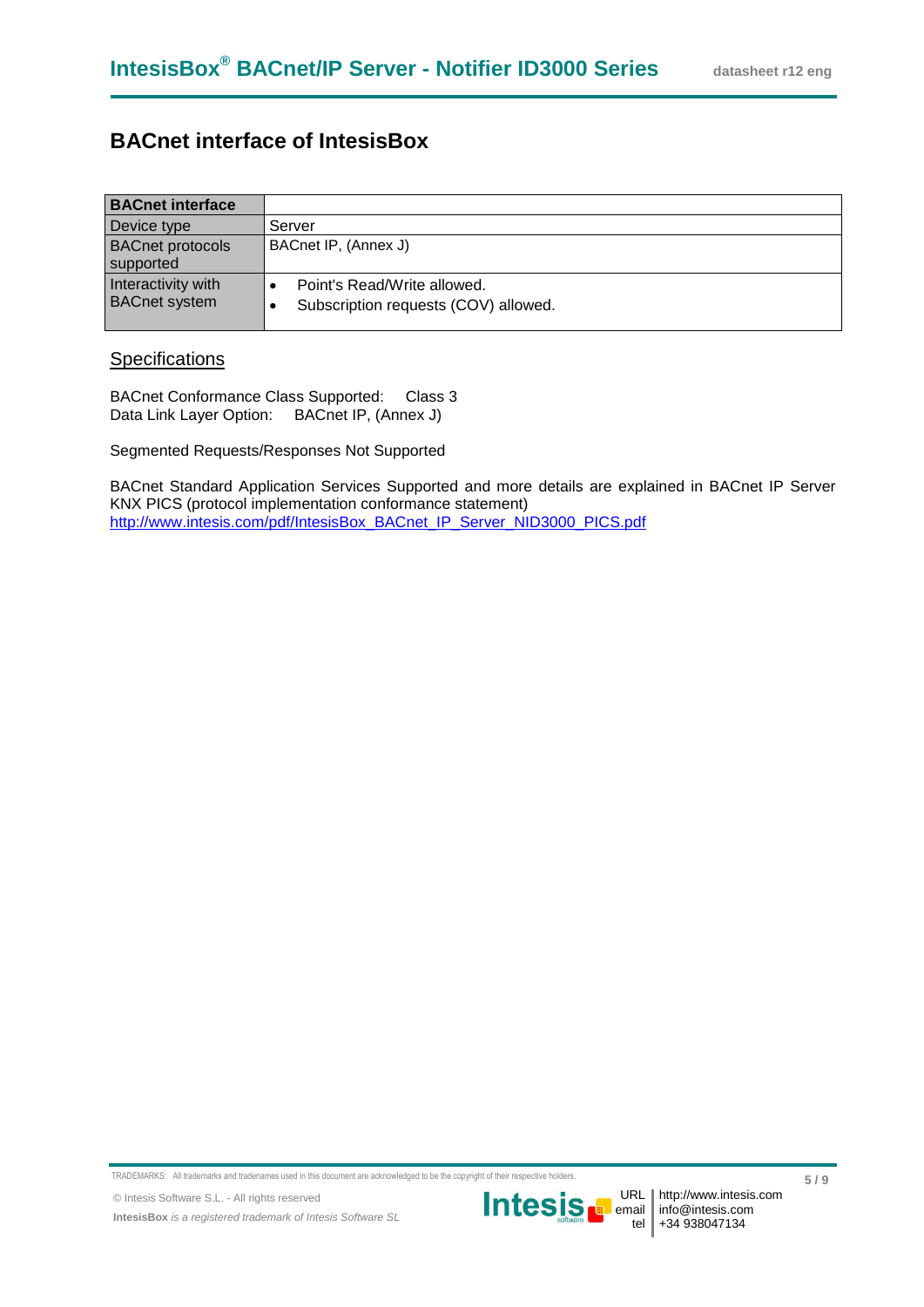### **BACnet interface of IntesisBox**

| <b>BACnet interface</b>                    |                                                                     |
|--------------------------------------------|---------------------------------------------------------------------|
| Device type                                | Server                                                              |
| <b>BACnet protocols</b><br>supported       | BACnet IP, (Annex J)                                                |
| Interactivity with<br><b>BACnet system</b> | Point's Read/Write allowed.<br>Subscription requests (COV) allowed. |

#### **Specifications**

BACnet Conformance Class Supported: Class 3 Data Link Layer Option: BACnet IP, (Annex J)

Segmented Requests/Responses Not Supported

BACnet Standard Application Services Supported and more details are explained in BACnet IP Server KNX PICS (protocol implementation conformance statement) [http://www.intesis.com/pdf/IntesisBox\\_BACnet\\_IP\\_Server\\_NID3000\\_PICS.pdf](http://www.intesis.com/pdf/IntesisBox_BACnet_IP_Server_NID3000_PICS.pdf)

TRADEMARKS: All trademarks and tradenames used in this document are acknowledged to be the copyright of their respective holders.

© Intesis Software S.L. - All rights reserved **IntesisBox** *is a registered trademark of Intesis Software SL*



URL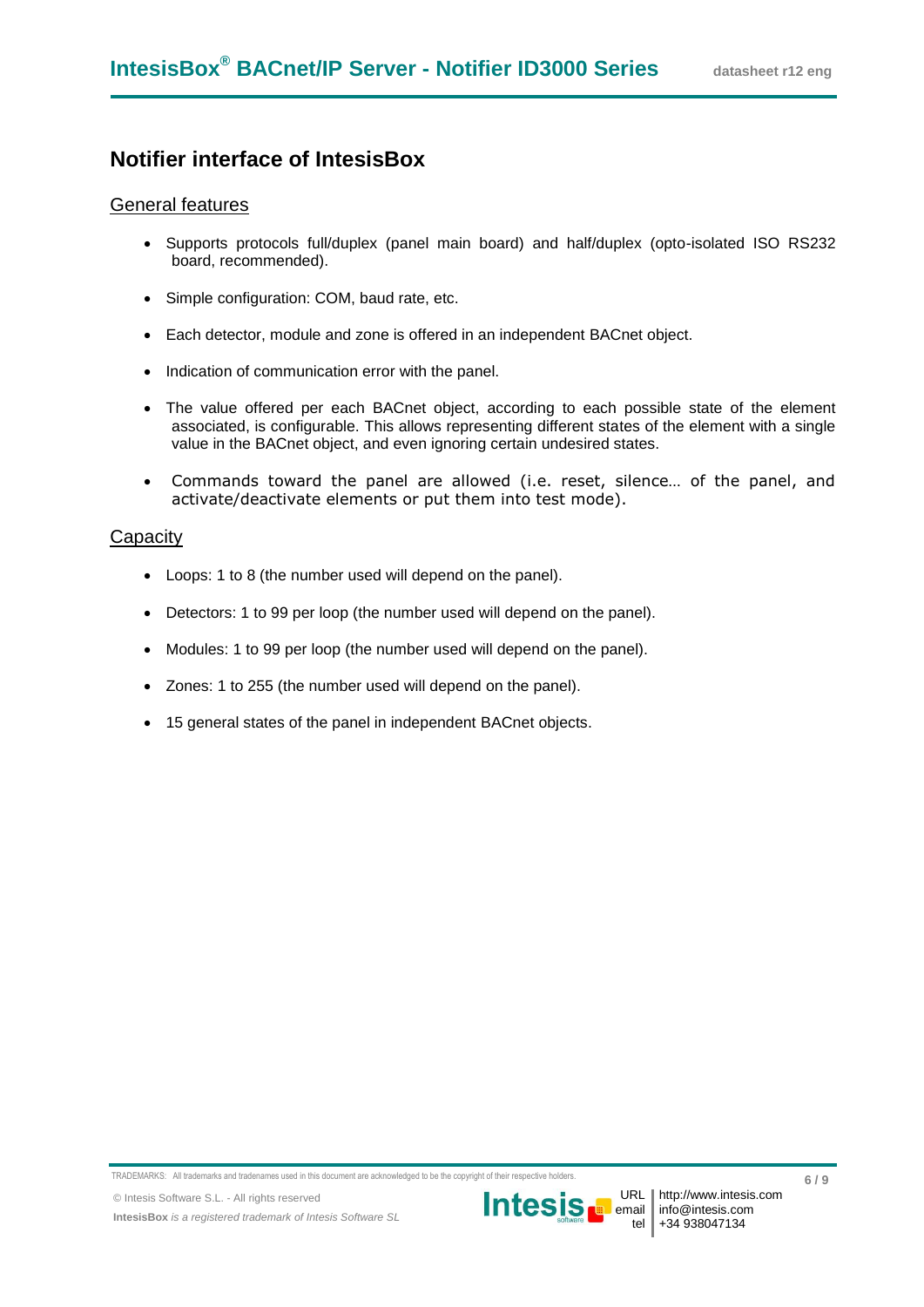### **Notifier interface of IntesisBox**

#### General features

- Supports protocols full/duplex (panel main board) and half/duplex (opto-isolated ISO RS232 board, recommended).
- Simple configuration: COM, baud rate, etc.
- Each detector, module and zone is offered in an independent BACnet object.
- Indication of communication error with the panel.
- The value offered per each BACnet object, according to each possible state of the element associated, is configurable. This allows representing different states of the element with a single value in the BACnet object, and even ignoring certain undesired states.
- Commands toward the panel are allowed (i.e. reset, silence… of the panel, and activate/deactivate elements or put them into test mode).

#### **Capacity**

- Loops: 1 to 8 (the number used will depend on the panel).
- Detectors: 1 to 99 per loop (the number used will depend on the panel).
- Modules: 1 to 99 per loop (the number used will depend on the panel).
- Zones: 1 to 255 (the number used will depend on the panel).
- 15 general states of the panel in independent BACnet objects.

TRADEMARKS: All trademarks and tradenames used in this document are acknowledged to be the copyright of their respective holders.

**IntesisBox** *is a registered trademark of Intesis Software SL*



URL I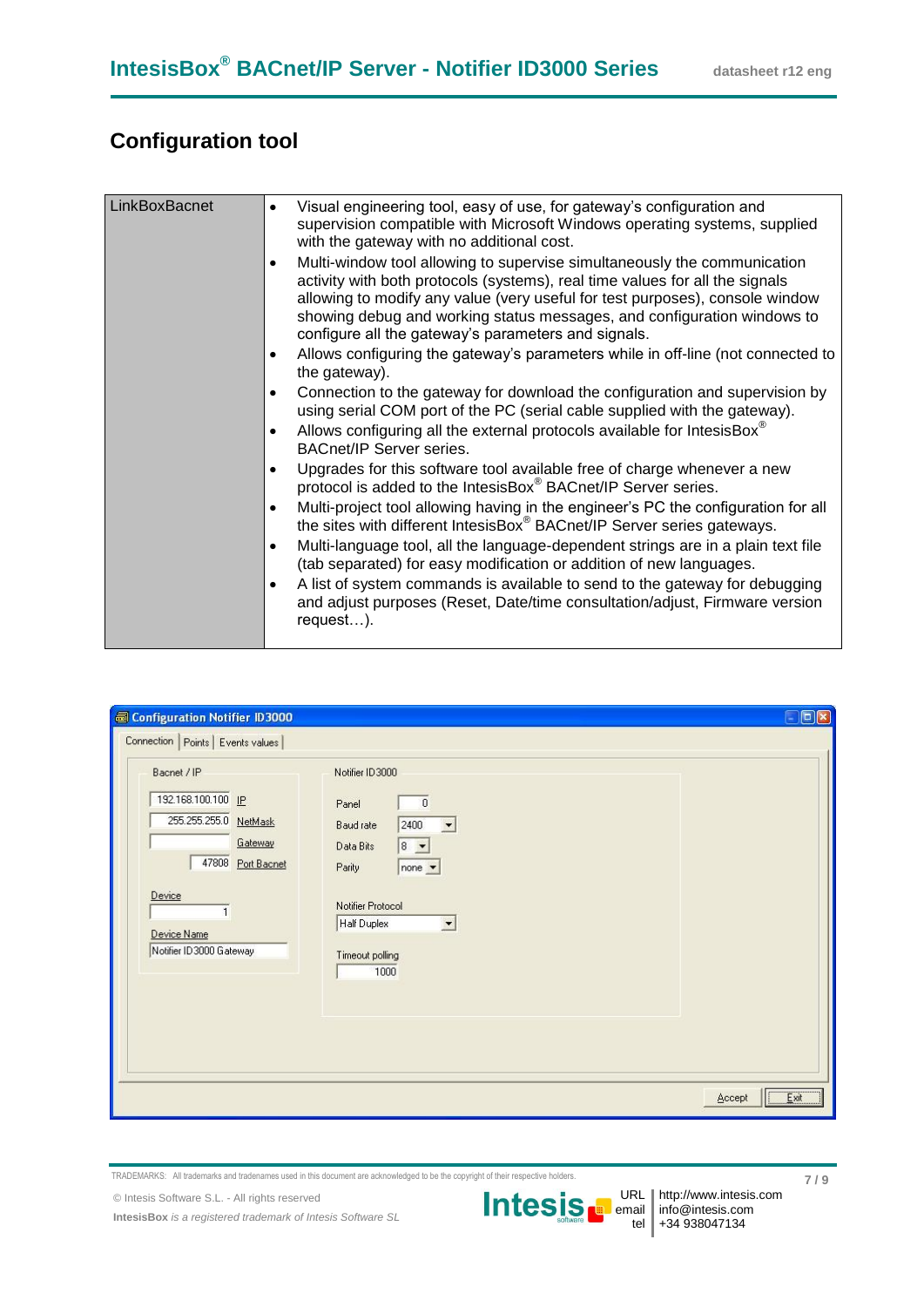## **Configuration tool**

| LinkBoxBacnet | Visual engineering tool, easy of use, for gateway's configuration and<br>$\bullet$<br>supervision compatible with Microsoft Windows operating systems, supplied<br>with the gateway with no additional cost.                                                                                                                                                               |
|---------------|----------------------------------------------------------------------------------------------------------------------------------------------------------------------------------------------------------------------------------------------------------------------------------------------------------------------------------------------------------------------------|
|               | Multi-window tool allowing to supervise simultaneously the communication<br>activity with both protocols (systems), real time values for all the signals<br>allowing to modify any value (very useful for test purposes), console window<br>showing debug and working status messages, and configuration windows to<br>configure all the gateway's parameters and signals. |
|               | Allows configuring the gateway's parameters while in off-line (not connected to<br>the gateway).                                                                                                                                                                                                                                                                           |
|               | Connection to the gateway for download the configuration and supervision by<br>using serial COM port of the PC (serial cable supplied with the gateway).                                                                                                                                                                                                                   |
|               | Allows configuring all the external protocols available for IntesisBox®<br><b>BACnet/IP Server series.</b>                                                                                                                                                                                                                                                                 |
|               | Upgrades for this software tool available free of charge whenever a new<br>protocol is added to the IntesisBox® BACnet/IP Server series.                                                                                                                                                                                                                                   |
|               | Multi-project tool allowing having in the engineer's PC the configuration for all<br>$\bullet$<br>the sites with different IntesisBox® BACnet/IP Server series gateways.                                                                                                                                                                                                   |
|               | Multi-language tool, all the language-dependent strings are in a plain text file<br>٠<br>(tab separated) for easy modification or addition of new languages.                                                                                                                                                                                                               |
|               | A list of system commands is available to send to the gateway for debugging<br>and adjust purposes (Reset, Date/time consultation/adjust, Firmware version<br>$request)$ .                                                                                                                                                                                                 |
|               |                                                                                                                                                                                                                                                                                                                                                                            |

| Connection   Points   Events values                                                                                                                             |                                                                                                                                                                                                                                      | $\Box$ ex |
|-----------------------------------------------------------------------------------------------------------------------------------------------------------------|--------------------------------------------------------------------------------------------------------------------------------------------------------------------------------------------------------------------------------------|-----------|
| Bacnet / IP<br>192.168.100.100 IP<br>255.255.255.0 NetMask<br>Gateway<br>47808 Port Bacnet<br>Device<br>$\mathbf{1}$<br>Device Name<br>Notifier ID 3000 Gateway | Notifier ID 3000<br>$\overline{\mathbf{0}}$<br>Panel<br>2400<br>Baud rate<br>$\blacktriangledown$<br>$8 -$<br>Data Bits<br>Parity<br>$none -$<br>Notifier Protocol<br>Half Duplex<br>$\blacktriangledown$<br>Timeout polling<br>1000 |           |

TRADEMARKS: All trademarks and tradenames used in this document are acknowledged to be the copyright of their respective holders.

© Intesis Software S.L. - All rights reserved

**IntesisBox** *is a registered trademark of Intesis Software SL*

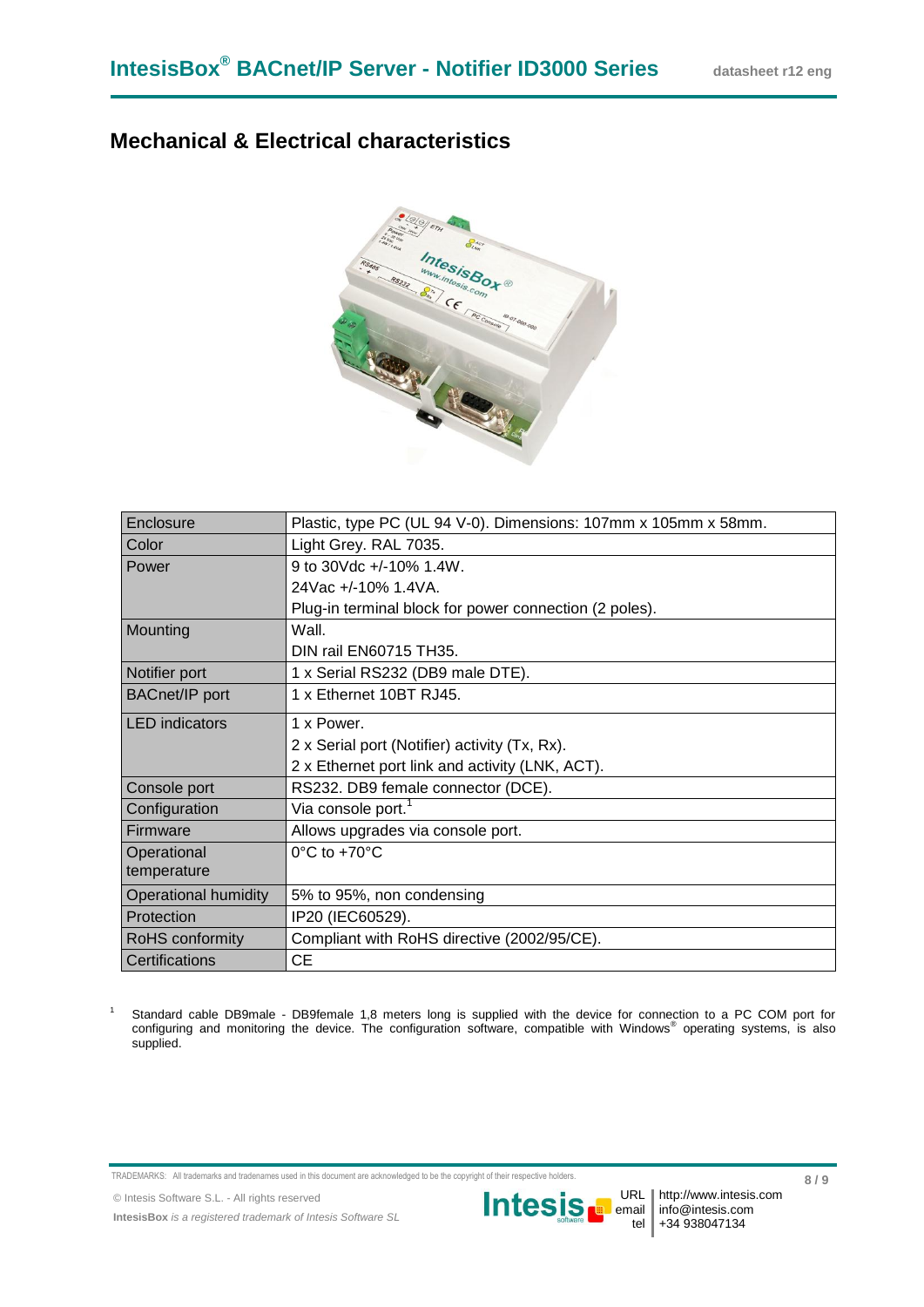### **Mechanical & Electrical characteristics**



| Enclosure                   | Plastic, type PC (UL 94 V-0). Dimensions: 107mm x 105mm x 58mm. |
|-----------------------------|-----------------------------------------------------------------|
| Color                       | Light Grey. RAL 7035.                                           |
| Power                       | 9 to 30Vdc +/-10% 1.4W.                                         |
|                             | 24Vac +/-10% 1.4VA.                                             |
|                             | Plug-in terminal block for power connection (2 poles).          |
| Mounting                    | Wall.                                                           |
|                             | DIN rail EN60715 TH35.                                          |
| Notifier port               | 1 x Serial RS232 (DB9 male DTE).                                |
| <b>BACnet/IP</b> port       | 1 x Ethernet 10BT RJ45.                                         |
| <b>LED</b> indicators       | 1 x Power.                                                      |
|                             | 2 x Serial port (Notifier) activity (Tx, Rx).                   |
|                             | 2 x Ethernet port link and activity (LNK, ACT).                 |
| Console port                | RS232. DB9 female connector (DCE).                              |
| Configuration               | Via console port. <sup>1</sup>                                  |
| Firmware                    | Allows upgrades via console port.                               |
| Operational                 | $0^{\circ}$ C to +70 $^{\circ}$ C                               |
| temperature                 |                                                                 |
| <b>Operational humidity</b> | 5% to 95%, non condensing                                       |
| Protection                  | IP20 (IEC60529).                                                |
| RoHS conformity             | Compliant with RoHS directive (2002/95/CE).                     |
| Certifications              | <b>CE</b>                                                       |

<sup>1</sup> Standard cable DB9male - DB9female 1,8 meters long is supplied with the device for connection to a PC COM port for configuring and monitoring the device. The configuration software, compatible with Windows® operating systems, is also supplied.

TRADEMARKS: All trademarks and tradenames used in this document are acknowledged to be the copyright of their respective holders.

© Intesis Software S.L. - All rights reserved

**IntesisBox** *is a registered trademark of Intesis Software SL*